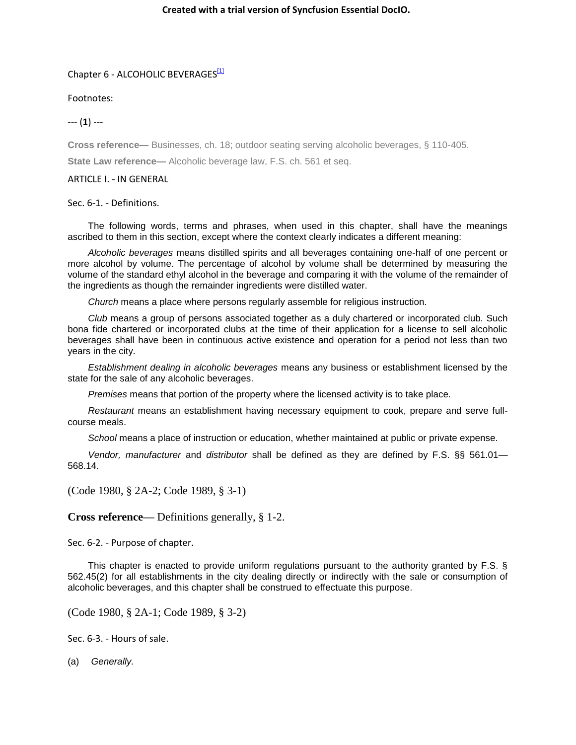## Chapter 6 - ALCOHOLIC BEVERAGES<sup>[1]</sup>

Footnotes:

--- (**1**) ---

**Cross reference—** Businesses, ch. 18; outdoor seating serving alcoholic beverages, § 110-405.

**State Law reference—** Alcoholic beverage law, F.S. ch. 561 et seq.

## ARTICLE I. - IN GENERAL

Sec. 6-1. - Definitions.

The following words, terms and phrases, when used in this chapter, shall have the meanings ascribed to them in this section, except where the context clearly indicates a different meaning:

*Alcoholic beverages* means distilled spirits and all beverages containing one-half of one percent or more alcohol by volume. The percentage of alcohol by volume shall be determined by measuring the volume of the standard ethyl alcohol in the beverage and comparing it with the volume of the remainder of the ingredients as though the remainder ingredients were distilled water.

*Church* means a place where persons regularly assemble for religious instruction.

*Club* means a group of persons associated together as a duly chartered or incorporated club. Such bona fide chartered or incorporated clubs at the time of their application for a license to sell alcoholic beverages shall have been in continuous active existence and operation for a period not less than two years in the city.

*Establishment dealing in alcoholic beverages* means any business or establishment licensed by the state for the sale of any alcoholic beverages.

*Premises* means that portion of the property where the licensed activity is to take place.

*Restaurant* means an establishment having necessary equipment to cook, prepare and serve fullcourse meals.

*School* means a place of instruction or education, whether maintained at public or private expense.

*Vendor, manufacturer* and *distributor* shall be defined as they are defined by F.S. §§ 561.01— 568.14.

(Code 1980, § 2A-2; Code 1989, § 3-1)

**Cross reference—** Definitions generally, § 1-2.

Sec. 6-2. - Purpose of chapter.

This chapter is enacted to provide uniform regulations pursuant to the authority granted by F.S. § 562.45(2) for all establishments in the city dealing directly or indirectly with the sale or consumption of alcoholic beverages, and this chapter shall be construed to effectuate this purpose.

(Code 1980, § 2A-1; Code 1989, § 3-2)

Sec. 6-3. - Hours of sale.

(a) *Generally.*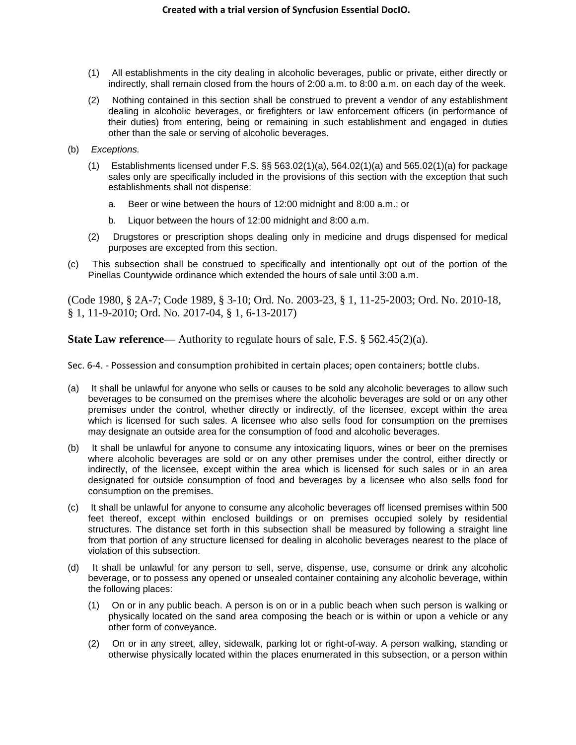- (1) All establishments in the city dealing in alcoholic beverages, public or private, either directly or indirectly, shall remain closed from the hours of 2:00 a.m. to 8:00 a.m. on each day of the week.
- (2) Nothing contained in this section shall be construed to prevent a vendor of any establishment dealing in alcoholic beverages, or firefighters or law enforcement officers (in performance of their duties) from entering, being or remaining in such establishment and engaged in duties other than the sale or serving of alcoholic beverages.
- (b) *Exceptions.*
	- $(1)$  Establishments licensed under F.S. §§ 563.02(1)(a), 564.02(1)(a) and 565.02(1)(a) for package sales only are specifically included in the provisions of this section with the exception that such establishments shall not dispense:
		- a. Beer or wine between the hours of 12:00 midnight and 8:00 a.m.; or
		- b. Liquor between the hours of 12:00 midnight and 8:00 a.m.
	- (2) Drugstores or prescription shops dealing only in medicine and drugs dispensed for medical purposes are excepted from this section.
- (c) This subsection shall be construed to specifically and intentionally opt out of the portion of the Pinellas Countywide ordinance which extended the hours of sale until 3:00 a.m.

(Code 1980, § 2A-7; Code 1989, § 3-10; Ord. No. 2003-23, § 1, 11-25-2003; Ord. No. 2010-18, § 1, 11-9-2010; Ord. No. 2017-04, § 1, 6-13-2017)

**State Law reference—** Authority to regulate hours of sale, F.S. § 562.45(2)(a).

Sec. 6-4. - Possession and consumption prohibited in certain places; open containers; bottle clubs.

- (a) It shall be unlawful for anyone who sells or causes to be sold any alcoholic beverages to allow such beverages to be consumed on the premises where the alcoholic beverages are sold or on any other premises under the control, whether directly or indirectly, of the licensee, except within the area which is licensed for such sales. A licensee who also sells food for consumption on the premises may designate an outside area for the consumption of food and alcoholic beverages.
- (b) It shall be unlawful for anyone to consume any intoxicating liquors, wines or beer on the premises where alcoholic beverages are sold or on any other premises under the control, either directly or indirectly, of the licensee, except within the area which is licensed for such sales or in an area designated for outside consumption of food and beverages by a licensee who also sells food for consumption on the premises.
- (c) It shall be unlawful for anyone to consume any alcoholic beverages off licensed premises within 500 feet thereof, except within enclosed buildings or on premises occupied solely by residential structures. The distance set forth in this subsection shall be measured by following a straight line from that portion of any structure licensed for dealing in alcoholic beverages nearest to the place of violation of this subsection.
- (d) It shall be unlawful for any person to sell, serve, dispense, use, consume or drink any alcoholic beverage, or to possess any opened or unsealed container containing any alcoholic beverage, within the following places:
	- (1) On or in any public beach. A person is on or in a public beach when such person is walking or physically located on the sand area composing the beach or is within or upon a vehicle or any other form of conveyance.
	- (2) On or in any street, alley, sidewalk, parking lot or right-of-way. A person walking, standing or otherwise physically located within the places enumerated in this subsection, or a person within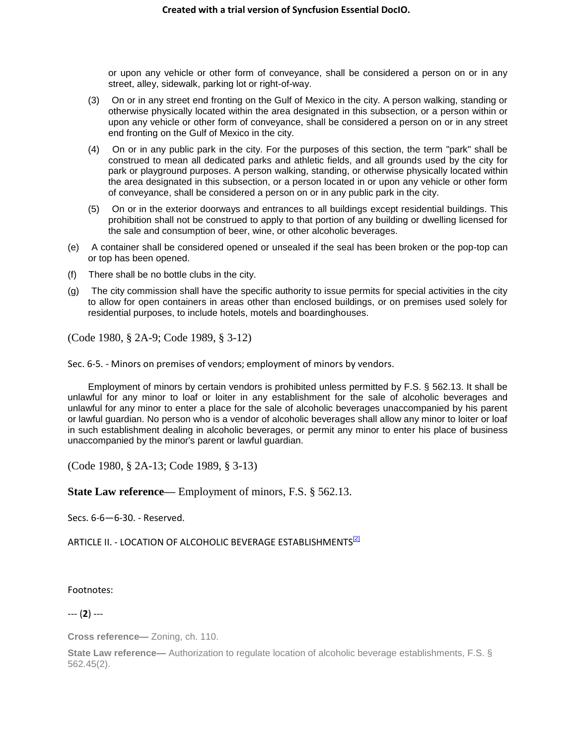or upon any vehicle or other form of conveyance, shall be considered a person on or in any street, alley, sidewalk, parking lot or right-of-way.

- (3) On or in any street end fronting on the Gulf of Mexico in the city. A person walking, standing or otherwise physically located within the area designated in this subsection, or a person within or upon any vehicle or other form of conveyance, shall be considered a person on or in any street end fronting on the Gulf of Mexico in the city.
- (4) On or in any public park in the city. For the purposes of this section, the term "park" shall be construed to mean all dedicated parks and athletic fields, and all grounds used by the city for park or playground purposes. A person walking, standing, or otherwise physically located within the area designated in this subsection, or a person located in or upon any vehicle or other form of conveyance, shall be considered a person on or in any public park in the city.
- (5) On or in the exterior doorways and entrances to all buildings except residential buildings. This prohibition shall not be construed to apply to that portion of any building or dwelling licensed for the sale and consumption of beer, wine, or other alcoholic beverages.
- (e) A container shall be considered opened or unsealed if the seal has been broken or the pop-top can or top has been opened.
- (f) There shall be no bottle clubs in the city.
- (g) The city commission shall have the specific authority to issue permits for special activities in the city to allow for open containers in areas other than enclosed buildings, or on premises used solely for residential purposes, to include hotels, motels and boardinghouses.

(Code 1980, § 2A-9; Code 1989, § 3-12)

Sec. 6-5. - Minors on premises of vendors; employment of minors by vendors.

Employment of minors by certain vendors is prohibited unless permitted by F.S. § 562.13. It shall be unlawful for any minor to loaf or loiter in any establishment for the sale of alcoholic beverages and unlawful for any minor to enter a place for the sale of alcoholic beverages unaccompanied by his parent or lawful guardian. No person who is a vendor of alcoholic beverages shall allow any minor to loiter or loaf in such establishment dealing in alcoholic beverages, or permit any minor to enter his place of business unaccompanied by the minor's parent or lawful guardian.

(Code 1980, § 2A-13; Code 1989, § 3-13)

**State Law reference—** Employment of minors, F.S. § 562.13.

Secs. 6-6—6-30. - Reserved.

ARTICLE II. - LOCATION OF ALCOHOLIC BEVERAGE ESTABLISHMENTS<sup>[2]</sup>

Footnotes:

--- (**2**) ---

**Cross reference—** Zoning, ch. 110.

**State Law reference—** Authorization to regulate location of alcoholic beverage establishments, F.S. § 562.45(2).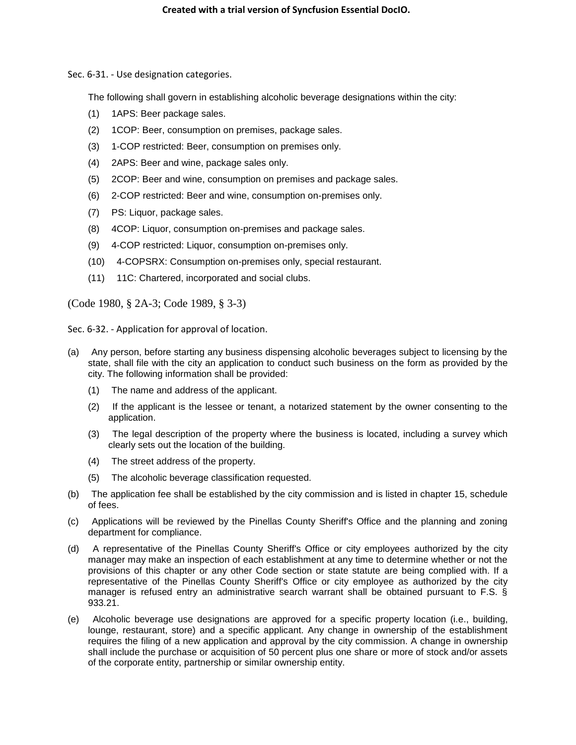Sec. 6-31. - Use designation categories.

The following shall govern in establishing alcoholic beverage designations within the city:

- (1) 1APS: Beer package sales.
- (2) 1COP: Beer, consumption on premises, package sales.
- (3) 1-COP restricted: Beer, consumption on premises only.
- (4) 2APS: Beer and wine, package sales only.
- (5) 2COP: Beer and wine, consumption on premises and package sales.
- (6) 2-COP restricted: Beer and wine, consumption on-premises only.
- (7) PS: Liquor, package sales.
- (8) 4COP: Liquor, consumption on-premises and package sales.
- (9) 4-COP restricted: Liquor, consumption on-premises only.
- (10) 4-COPSRX: Consumption on-premises only, special restaurant.
- (11) 11C: Chartered, incorporated and social clubs.

(Code 1980, § 2A-3; Code 1989, § 3-3)

Sec. 6-32. - Application for approval of location.

- (a) Any person, before starting any business dispensing alcoholic beverages subject to licensing by the state, shall file with the city an application to conduct such business on the form as provided by the city. The following information shall be provided:
	- (1) The name and address of the applicant.
	- (2) If the applicant is the lessee or tenant, a notarized statement by the owner consenting to the application.
	- (3) The legal description of the property where the business is located, including a survey which clearly sets out the location of the building.
	- (4) The street address of the property.
	- (5) The alcoholic beverage classification requested.
- (b) The application fee shall be established by the city commission and is listed in chapter 15, schedule of fees.
- (c) Applications will be reviewed by the Pinellas County Sheriff's Office and the planning and zoning department for compliance.
- (d) A representative of the Pinellas County Sheriff's Office or city employees authorized by the city manager may make an inspection of each establishment at any time to determine whether or not the provisions of this chapter or any other Code section or state statute are being complied with. If a representative of the Pinellas County Sheriff's Office or city employee as authorized by the city manager is refused entry an administrative search warrant shall be obtained pursuant to F.S. § 933.21.
- (e) Alcoholic beverage use designations are approved for a specific property location (i.e., building, lounge, restaurant, store) and a specific applicant. Any change in ownership of the establishment requires the filing of a new application and approval by the city commission. A change in ownership shall include the purchase or acquisition of 50 percent plus one share or more of stock and/or assets of the corporate entity, partnership or similar ownership entity.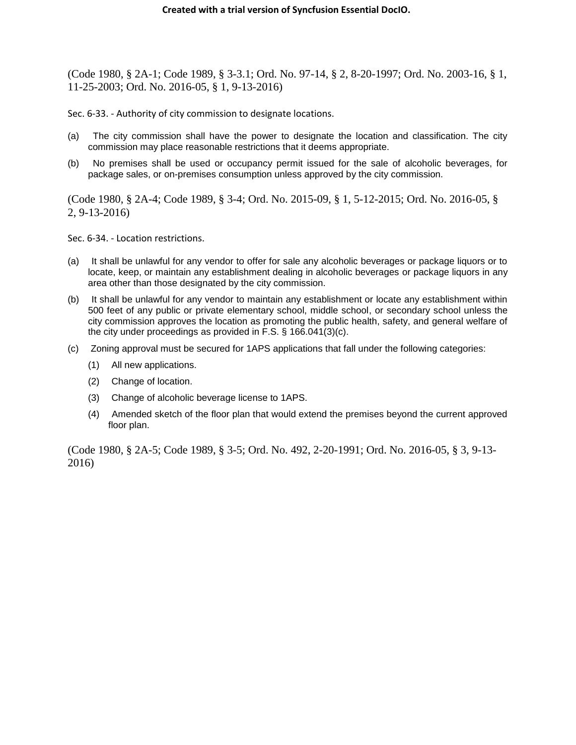(Code 1980, § 2A-1; Code 1989, § 3-3.1; Ord. No. 97-14, § 2, 8-20-1997; Ord. No. 2003-16, § 1, 11-25-2003; Ord. No. 2016-05, § 1, 9-13-2016)

Sec. 6-33. - Authority of city commission to designate locations.

- (a) The city commission shall have the power to designate the location and classification. The city commission may place reasonable restrictions that it deems appropriate.
- (b) No premises shall be used or occupancy permit issued for the sale of alcoholic beverages, for package sales, or on-premises consumption unless approved by the city commission.

(Code 1980, § 2A-4; Code 1989, § 3-4; Ord. No. 2015-09, § 1, 5-12-2015; Ord. No. 2016-05, § 2, 9-13-2016)

Sec. 6-34. - Location restrictions.

- (a) It shall be unlawful for any vendor to offer for sale any alcoholic beverages or package liquors or to locate, keep, or maintain any establishment dealing in alcoholic beverages or package liquors in any area other than those designated by the city commission.
- (b) It shall be unlawful for any vendor to maintain any establishment or locate any establishment within 500 feet of any public or private elementary school, middle school, or secondary school unless the city commission approves the location as promoting the public health, safety, and general welfare of the city under proceedings as provided in F.S. § 166.041(3)(c).
- (c) Zoning approval must be secured for 1APS applications that fall under the following categories:
	- (1) All new applications.
	- (2) Change of location.
	- (3) Change of alcoholic beverage license to 1APS.
	- (4) Amended sketch of the floor plan that would extend the premises beyond the current approved floor plan.

(Code 1980, § 2A-5; Code 1989, § 3-5; Ord. No. 492, 2-20-1991; Ord. No. 2016-05, § 3, 9-13- 2016)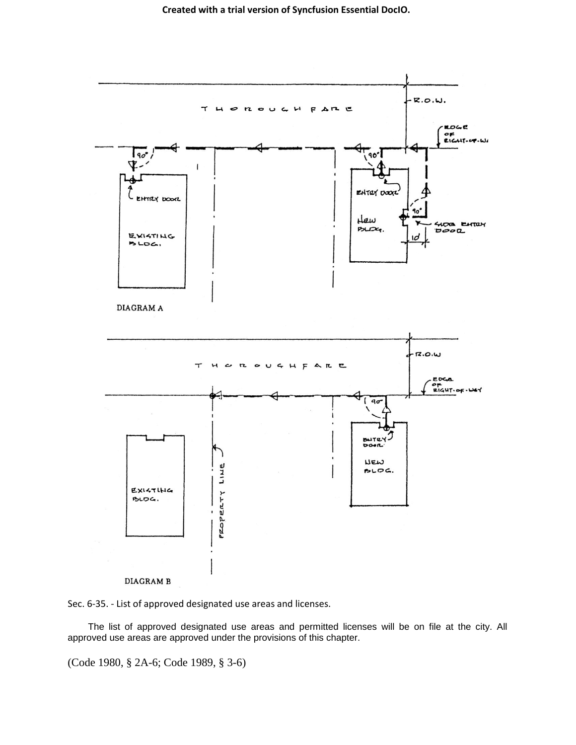



The list of approved designated use areas and permitted licenses will be on file at the city. All approved use areas are approved under the provisions of this chapter.

(Code 1980, § 2A-6; Code 1989, § 3-6)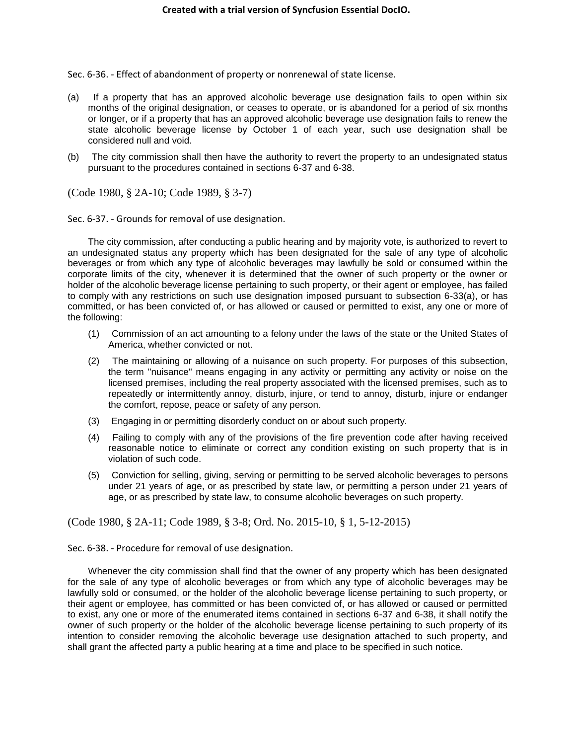Sec. 6-36. - Effect of abandonment of property or nonrenewal of state license.

- (a) If a property that has an approved alcoholic beverage use designation fails to open within six months of the original designation, or ceases to operate, or is abandoned for a period of six months or longer, or if a property that has an approved alcoholic beverage use designation fails to renew the state alcoholic beverage license by October 1 of each year, such use designation shall be considered null and void.
- (b) The city commission shall then have the authority to revert the property to an undesignated status pursuant to the procedures contained in sections 6-37 and 6-38.

(Code 1980, § 2A-10; Code 1989, § 3-7)

Sec. 6-37. - Grounds for removal of use designation.

The city commission, after conducting a public hearing and by majority vote, is authorized to revert to an undesignated status any property which has been designated for the sale of any type of alcoholic beverages or from which any type of alcoholic beverages may lawfully be sold or consumed within the corporate limits of the city, whenever it is determined that the owner of such property or the owner or holder of the alcoholic beverage license pertaining to such property, or their agent or employee, has failed to comply with any restrictions on such use designation imposed pursuant to subsection 6-33(a), or has committed, or has been convicted of, or has allowed or caused or permitted to exist, any one or more of the following:

- (1) Commission of an act amounting to a felony under the laws of the state or the United States of America, whether convicted or not.
- (2) The maintaining or allowing of a nuisance on such property. For purposes of this subsection, the term "nuisance" means engaging in any activity or permitting any activity or noise on the licensed premises, including the real property associated with the licensed premises, such as to repeatedly or intermittently annoy, disturb, injure, or tend to annoy, disturb, injure or endanger the comfort, repose, peace or safety of any person.
- (3) Engaging in or permitting disorderly conduct on or about such property.
- (4) Failing to comply with any of the provisions of the fire prevention code after having received reasonable notice to eliminate or correct any condition existing on such property that is in violation of such code.
- (5) Conviction for selling, giving, serving or permitting to be served alcoholic beverages to persons under 21 years of age, or as prescribed by state law, or permitting a person under 21 years of age, or as prescribed by state law, to consume alcoholic beverages on such property.

(Code 1980, § 2A-11; Code 1989, § 3-8; Ord. No. 2015-10, § 1, 5-12-2015)

Sec. 6-38. - Procedure for removal of use designation.

Whenever the city commission shall find that the owner of any property which has been designated for the sale of any type of alcoholic beverages or from which any type of alcoholic beverages may be lawfully sold or consumed, or the holder of the alcoholic beverage license pertaining to such property, or their agent or employee, has committed or has been convicted of, or has allowed or caused or permitted to exist, any one or more of the enumerated items contained in sections 6-37 and 6-38, it shall notify the owner of such property or the holder of the alcoholic beverage license pertaining to such property of its intention to consider removing the alcoholic beverage use designation attached to such property, and shall grant the affected party a public hearing at a time and place to be specified in such notice.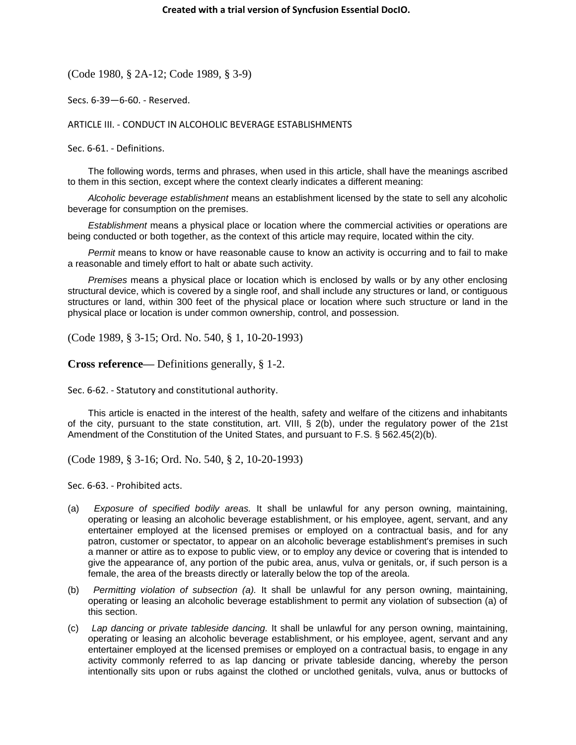(Code 1980, § 2A-12; Code 1989, § 3-9)

Secs. 6-39—6-60. - Reserved.

ARTICLE III. - CONDUCT IN ALCOHOLIC BEVERAGE ESTABLISHMENTS

Sec. 6-61. - Definitions.

The following words, terms and phrases, when used in this article, shall have the meanings ascribed to them in this section, except where the context clearly indicates a different meaning:

*Alcoholic beverage establishment* means an establishment licensed by the state to sell any alcoholic beverage for consumption on the premises.

*Establishment* means a physical place or location where the commercial activities or operations are being conducted or both together, as the context of this article may require, located within the city.

*Permit* means to know or have reasonable cause to know an activity is occurring and to fail to make a reasonable and timely effort to halt or abate such activity.

*Premises* means a physical place or location which is enclosed by walls or by any other enclosing structural device, which is covered by a single roof, and shall include any structures or land, or contiguous structures or land, within 300 feet of the physical place or location where such structure or land in the physical place or location is under common ownership, control, and possession.

(Code 1989, § 3-15; Ord. No. 540, § 1, 10-20-1993)

**Cross reference—** Definitions generally, § 1-2.

Sec. 6-62. - Statutory and constitutional authority.

This article is enacted in the interest of the health, safety and welfare of the citizens and inhabitants of the city, pursuant to the state constitution, art. VIII, § 2(b), under the regulatory power of the 21st Amendment of the Constitution of the United States, and pursuant to F.S. § 562.45(2)(b).

(Code 1989, § 3-16; Ord. No. 540, § 2, 10-20-1993)

Sec. 6-63. - Prohibited acts.

- (a) *Exposure of specified bodily areas.* It shall be unlawful for any person owning, maintaining, operating or leasing an alcoholic beverage establishment, or his employee, agent, servant, and any entertainer employed at the licensed premises or employed on a contractual basis, and for any patron, customer or spectator, to appear on an alcoholic beverage establishment's premises in such a manner or attire as to expose to public view, or to employ any device or covering that is intended to give the appearance of, any portion of the pubic area, anus, vulva or genitals, or, if such person is a female, the area of the breasts directly or laterally below the top of the areola.
- (b) *Permitting violation of subsection (a).* It shall be unlawful for any person owning, maintaining, operating or leasing an alcoholic beverage establishment to permit any violation of subsection (a) of this section.
- (c) *Lap dancing or private tableside dancing.* It shall be unlawful for any person owning, maintaining, operating or leasing an alcoholic beverage establishment, or his employee, agent, servant and any entertainer employed at the licensed premises or employed on a contractual basis, to engage in any activity commonly referred to as lap dancing or private tableside dancing, whereby the person intentionally sits upon or rubs against the clothed or unclothed genitals, vulva, anus or buttocks of